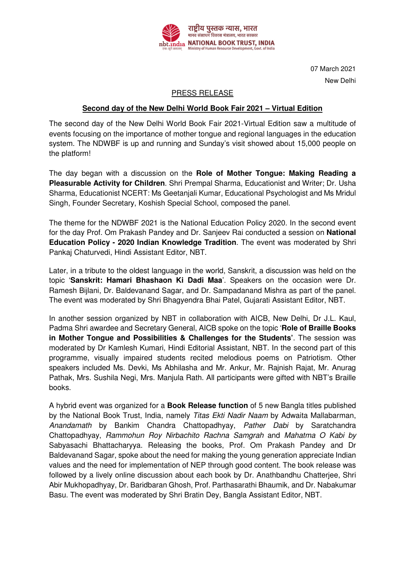

07 March 2021 New Delhi

## PRESS RELEASE

## **Second day of the New Delhi World Book Fair 2021 – Virtual Edition**

The second day of the New Delhi World Book Fair 2021-Virtual Edition saw a multitude of events focusing on the importance of mother tongue and regional languages in the education system. The NDWBF is up and running and Sunday's visit showed about 15,000 people on the platform!

The day began with a discussion on the **Role of Mother Tongue: Making Reading a Pleasurable Activity for Children**. Shri Prempal Sharma, Educationist and Writer; Dr. Usha Sharma, Educationist NCERT: Ms Geetanjali Kumar, Educational Psychologist and Ms Mridul Singh, Founder Secretary, Koshish Special School, composed the panel.

The theme for the NDWBF 2021 is the National Education Policy 2020. In the second event for the day Prof. Om Prakash Pandey and Dr. Sanjeev Rai conducted a session on **National Education Policy - 2020 Indian Knowledge Tradition**. The event was moderated by Shri Pankaj Chaturvedi, Hindi Assistant Editor, NBT.

Later, in a tribute to the oldest language in the world, Sanskrit, a discussion was held on the topic '**Sanskrit: Hamari Bhashaon Ki Dadi Maa**'. Speakers on the occasion were Dr. Ramesh Bijlani, Dr. Baldevanand Sagar, and Dr. Sampadanand Mishra as part of the panel. The event was moderated by Shri Bhagyendra Bhai Patel, Gujarati Assistant Editor, NBT.

In another session organized by NBT in collaboration with AICB, New Delhi, Dr J.L. Kaul, Padma Shri awardee and Secretary General, AICB spoke on the topic '**Role of Braille Books in Mother Tongue and Possibilities & Challenges for the Students'**. The session was moderated by Dr Kamlesh Kumari, Hindi Editorial Assistant, NBT. In the second part of this programme, visually impaired students recited melodious poems on Patriotism. Other speakers included Ms. Devki, Ms Abhilasha and Mr. Ankur, Mr. Rajnish Rajat, Mr. Anurag Pathak, Mrs. Sushila Negi, Mrs. Manjula Rath. All participants were gifted with NBT's Braille books.

A hybrid event was organized for a **Book Release function** of 5 new Bangla titles published by the National Book Trust, India, namely Titas Ekti Nadir Naam by Adwaita Mallabarman, Anandamath by Bankim Chandra Chattopadhyay, Pather Dabi by Saratchandra Chattopadhyay, Rammohun Roy Nirbachito Rachna Samgrah and Mahatma O Kabi by Sabyasachi Bhattacharyya. Releasing the books, Prof. Om Prakash Pandey and Dr Baldevanand Sagar, spoke about the need for making the young generation appreciate Indian values and the need for implementation of NEP through good content. The book release was followed by a lively online discussion about each book by Dr. Anathbandhu Chatterjee, Shri Abir Mukhopadhyay, Dr. Baridbaran Ghosh, Prof. Parthasarathi Bhaumik, and Dr. Nabakumar Basu. The event was moderated by Shri Bratin Dey, Bangla Assistant Editor, NBT.